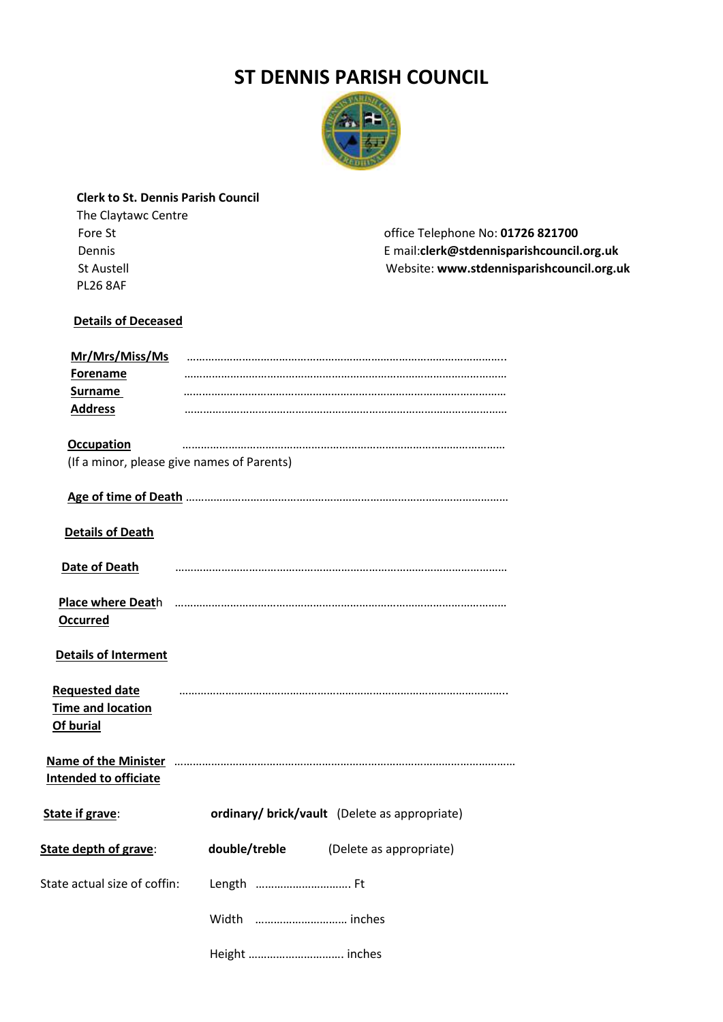## **ST DENNIS PARISH COUNCIL**



### **Clerk to St. Dennis Parish Council**

 Fore St office Telephone No: **01726 821700** Dennis E mail:**clerk@stdennisparishcouncil.org.uk**  Website: www.stdennisparishcouncil.org.uk

### **Details of Deceased**

| Mr/Mrs/Miss/Ms                             |                                                                                                             |  |  |  |  |
|--------------------------------------------|-------------------------------------------------------------------------------------------------------------|--|--|--|--|
| <b>Forename</b>                            |                                                                                                             |  |  |  |  |
| Surname                                    |                                                                                                             |  |  |  |  |
| <b>Address</b>                             |                                                                                                             |  |  |  |  |
|                                            |                                                                                                             |  |  |  |  |
| <b>Occupation</b>                          |                                                                                                             |  |  |  |  |
| (If a minor, please give names of Parents) |                                                                                                             |  |  |  |  |
|                                            |                                                                                                             |  |  |  |  |
| <b>Details of Death</b>                    |                                                                                                             |  |  |  |  |
|                                            |                                                                                                             |  |  |  |  |
| Date of Death                              |                                                                                                             |  |  |  |  |
|                                            |                                                                                                             |  |  |  |  |
|                                            |                                                                                                             |  |  |  |  |
| <b>Occurred</b>                            |                                                                                                             |  |  |  |  |
| <b>Details of Interment</b>                |                                                                                                             |  |  |  |  |
| <b>Requested date</b>                      |                                                                                                             |  |  |  |  |
| Time and location                          |                                                                                                             |  |  |  |  |
| Of burial                                  |                                                                                                             |  |  |  |  |
|                                            |                                                                                                             |  |  |  |  |
|                                            | Name of the Minister manufacture and the Minister manufacture and the Minister manufacture and the Minister |  |  |  |  |
| <b>Intended to officiate</b>               |                                                                                                             |  |  |  |  |
|                                            |                                                                                                             |  |  |  |  |
| State if grave:                            | ordinary/ brick/vault (Delete as appropriate)                                                               |  |  |  |  |
| State depth of grave:                      | double/treble<br>(Delete as appropriate)                                                                    |  |  |  |  |
| State actual size of coffin:               | Length  Ft                                                                                                  |  |  |  |  |
|                                            | Width  inches                                                                                               |  |  |  |  |
|                                            | Height  inches                                                                                              |  |  |  |  |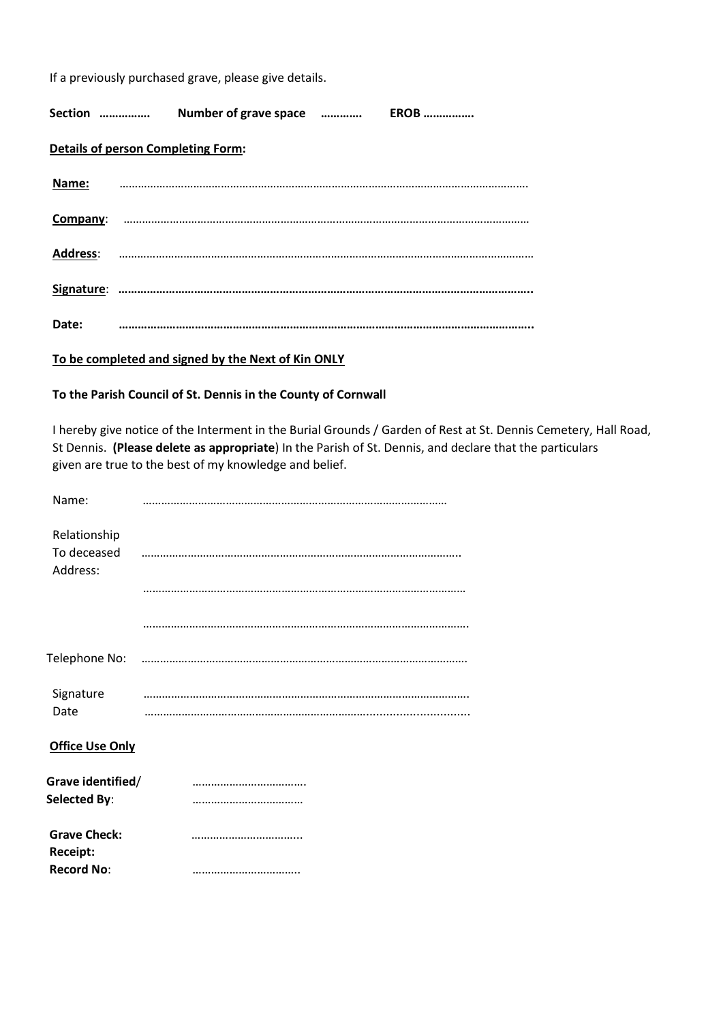If a previously purchased grave, please give details.

| Section                                   | Number of grave space |  | <b>EROB</b> |  |  |
|-------------------------------------------|-----------------------|--|-------------|--|--|
| <b>Details of person Completing Form:</b> |                       |  |             |  |  |
| Name:                                     |                       |  |             |  |  |
| Company:                                  |                       |  |             |  |  |
| <b>Address:</b>                           |                       |  |             |  |  |
|                                           |                       |  |             |  |  |
| Date:                                     |                       |  |             |  |  |

 **To be completed and signed by the Next of Kin ONLY** 

#### **To the Parish Council of St. Dennis in the County of Cornwall**

I hereby give notice of the Interment in the Burial Grounds / Garden of Rest at St. Dennis Cemetery, Hall Road, St Dennis. **(Please delete as appropriate**) In the Parish of St. Dennis, and declare that the particulars given are true to the best of my knowledge and belief.

| Name:                                    |  |
|------------------------------------------|--|
| Relationship<br>To deceased<br>Address:  |  |
|                                          |  |
|                                          |  |
|                                          |  |
| Signature<br>Date                        |  |
| <b>Office Use Only</b>                   |  |
| Grave identified/<br><b>Selected By:</b> |  |
| <b>Grave Check:</b><br>Receipt:          |  |
| <b>Record No:</b>                        |  |